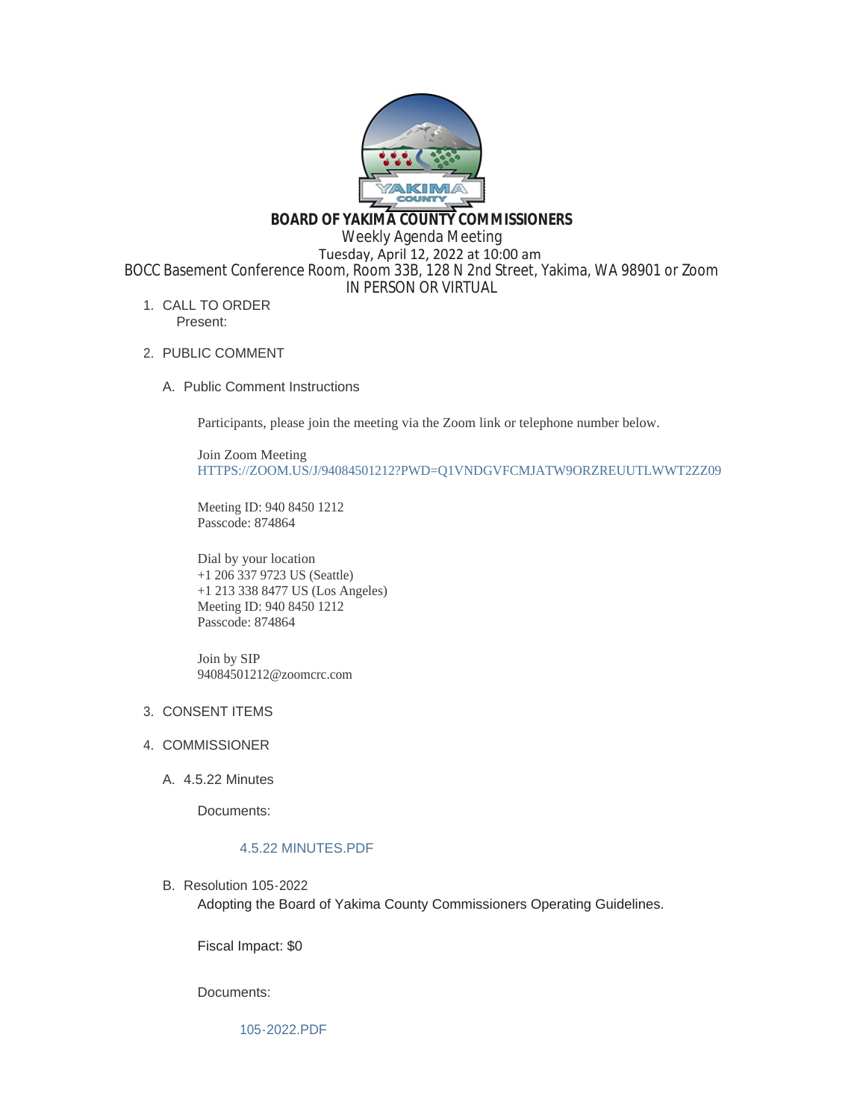

**BOARD OF YAKIMA COUNTY COMMISSIONERS**

Weekly Agenda Meeting

 Tuesday, April 12, 2022 at 10:00 am BOCC Basement Conference Room, Room 33B, 128 N 2nd Street, Yakima, WA 98901 or Zoom

IN PERSON OR VIRTUAL

- 1. CALL TO ORDER Present:
- 2. PUBLIC COMMENT
	- A. Public Comment Instructions

Participants, please join the meeting via the Zoom link or telephone number below.

Join Zoom Meeting [HTTPS://ZOOM.US/J/94084501212?PWD=Q1VNDGVFCMJATW9ORZREUUTLWWT2ZZ09](https://zoom.us/j/94084501212?pwd=Q1VNdGVFcmJaTW9ORzREUUtlWWt2Zz09)

Meeting ID: 940 8450 1212 Passcode: 874864

Dial by your location +1 206 337 9723 US (Seattle) +1 213 338 8477 US (Los Angeles) Meeting ID: 940 8450 1212 Passcode: 874864

Join by SIP 94084501212@zoomcrc.com

# 3. CONSENT ITEMS

- 4. COMMISSIONER
	- 4.5.22 Minutes A.

Documents:

# [4.5.22 MINUTES.PDF](https://www.yakimacounty.us/AgendaCenter/ViewFile/Item/4126?fileID=16067)

B. Resolution 105-2022 Adopting the Board of Yakima County Commissioners Operating Guidelines.

Fiscal Impact: \$0

Documents:

[105-2022.PDF](https://www.yakimacounty.us/AgendaCenter/ViewFile/Item/4127?fileID=16068)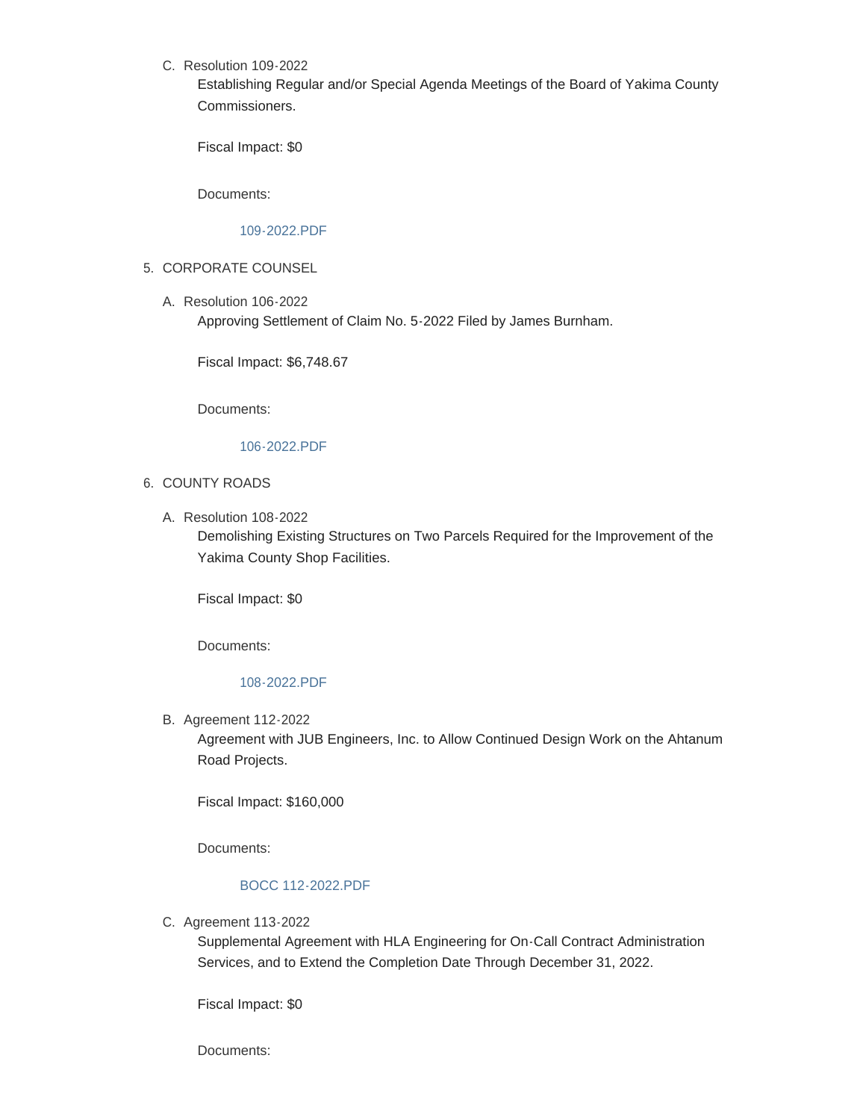C. Resolution 109-2022

Establishing Regular and/or Special Agenda Meetings of the Board of Yakima County Commissioners.

Fiscal Impact: \$0

Documents:

[109-2022.PDF](https://www.yakimacounty.us/AgendaCenter/ViewFile/Item/4128?fileID=16069)

- 5. CORPORATE COUNSEL
	- Resolution 106-2022 A. Approving Settlement of Claim No. 5-2022 Filed by James Burnham.

Fiscal Impact: \$6,748.67

Documents:

#### [106-2022.PDF](https://www.yakimacounty.us/AgendaCenter/ViewFile/Item/4129?fileID=16072)

- 6. COUNTY ROADS
	- Resolution 108-2022 A.

Demolishing Existing Structures on Two Parcels Required for the Improvement of the Yakima County Shop Facilities.

Fiscal Impact: \$0

Documents:

#### [108-2022.PDF](https://www.yakimacounty.us/AgendaCenter/ViewFile/Item/4130?fileID=16071)

**B.** Agreement 112-2022

Agreement with JUB Engineers, Inc. to Allow Continued Design Work on the Ahtanum Road Projects.

Fiscal Impact: \$160,000

Documents:

### [BOCC 112-2022.PDF](https://www.yakimacounty.us/AgendaCenter/ViewFile/Item/4131?fileID=16073)

C. Agreement 113-2022

Supplemental Agreement with HLA Engineering for On-Call Contract Administration Services, and to Extend the Completion Date Through December 31, 2022.

Fiscal Impact: \$0

Documents: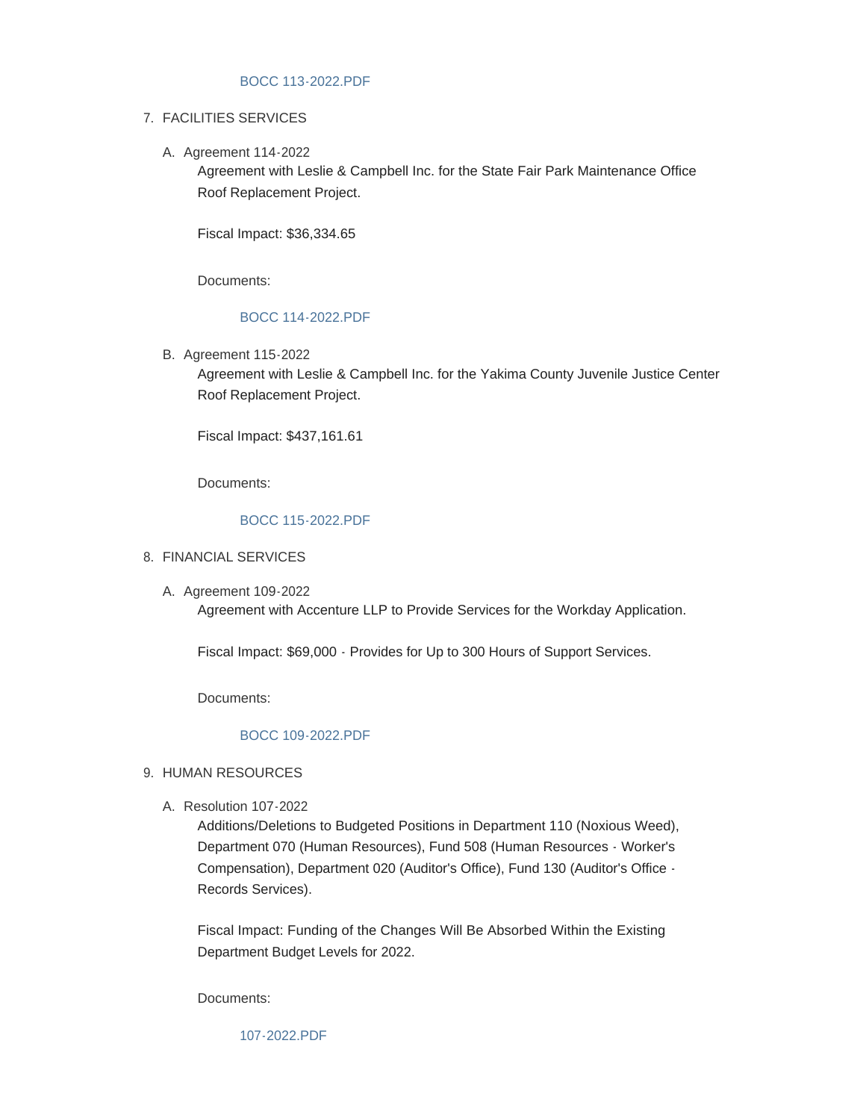### [BOCC 113-2022.PDF](https://www.yakimacounty.us/AgendaCenter/ViewFile/Item/4132?fileID=16074)

# FACILITIES SERVICES 7.

A. Agreement 114-2022

Agreement with Leslie & Campbell Inc. for the State Fair Park Maintenance Office Roof Replacement Project.

Fiscal Impact: \$36,334.65

Documents:

# [BOCC 114-2022.PDF](https://www.yakimacounty.us/AgendaCenter/ViewFile/Item/4133?fileID=16075)

B. Agreement 115-2022

Agreement with Leslie & Campbell Inc. for the Yakima County Juvenile Justice Center Roof Replacement Project.

Fiscal Impact: \$437,161.61

Documents:

### [BOCC 115-2022.PDF](https://www.yakimacounty.us/AgendaCenter/ViewFile/Item/4134?fileID=16076)

# FINANCIAL SERVICES 8.

A. Agreement 109-2022

Agreement with Accenture LLP to Provide Services for the Workday Application.

Fiscal Impact: \$69,000 - Provides for Up to 300 Hours of Support Services.

Documents:

### [BOCC 109-2022.PDF](https://www.yakimacounty.us/AgendaCenter/ViewFile/Item/4135?fileID=16077)

### 9. HUMAN RESOURCES

Resolution 107-2022 A.

Additions/Deletions to Budgeted Positions in Department 110 (Noxious Weed), Department 070 (Human Resources), Fund 508 (Human Resources - Worker's Compensation), Department 020 (Auditor's Office), Fund 130 (Auditor's Office - Records Services).

Fiscal Impact: Funding of the Changes Will Be Absorbed Within the Existing Department Budget Levels for 2022.

Documents:

[107-2022.PDF](https://www.yakimacounty.us/AgendaCenter/ViewFile/Item/4136?fileID=16078)